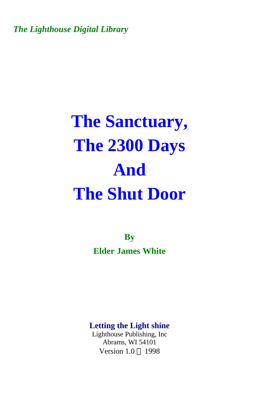*The Lighthouse Digital Library* 

# **The Sanctuary, The 2300 Days And The Shut Door**

**By Elder James White** 

**Letting the Light shine** 

Lighthouse Publishing, Inc Abrams, WI 54101 Version  $1.0 \odot 1998$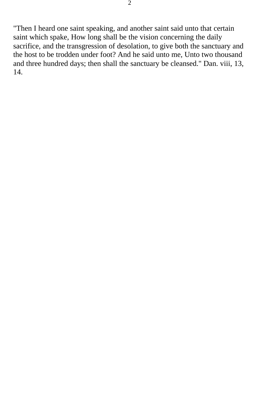"Then I heard one saint speaking, and another saint said unto that certain saint which spake, How long shall be the vision concerning the daily sacrifice, and the transgression of desolation, to give both the sanctuary and the host to be trodden under foot? And he said unto me, Unto two thousand and three hundred days; then shall the sanctuary be cleansed." Dan. viii, 13, 14.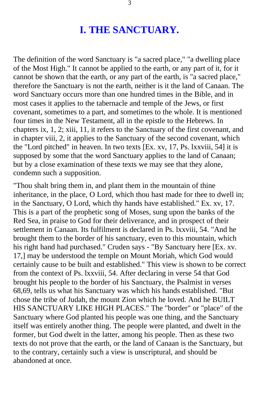### **I. THE SANCTUARY.**

The definition of the word Sanctuary is "a sacred place," "a dwelling place of the Most High." It cannot be applied to the earth, or any part of it, for it cannot be shown that the earth, or any part of the earth, is "a sacred place," therefore the Sanctuary is not the earth, neither is it the land of Canaan. The word Sanctuary occurs more than one hundred times in the Bible, and in most cases it applies to the tabernacle and temple of the Jews, or first covenant, sometimes to a part, and sometimes to the whole. It is mentioned four times in the New Testament, all in the epistle to the Hebrews. In chapters ix, 1, 2; xiii, 11, it refers to the Sanctuary of the first covenant, and in chapter viii, 2, it applies to the Sanctuary of the second covenant, which the "Lord pitched" in heaven. In two texts [Ex. xv, 17, Ps. lxxviii, 54] it is supposed by some that the word Sanctuary applies to the land of Canaan; but by a close examination of these texts we may see that they alone, condemn such a supposition.

"Thou shalt bring them in, and plant them in the mountain of thine inheritance, in the place, O Lord, which thou hast made for thee to dwell in; in the Sanctuary, O Lord, which thy hands have established." Ex. xv, 17. This is a part of the prophetic song of Moses, sung upon the banks of the Red Sea, in praise to God for their deliverance, and in prospect of their settlement in Canaan. Its fulfilment is declared in Ps. lxxviii, 54. "And he brought them to the border of his sanctuary, even to this mountain, which his right hand had purchased." Cruden says - "By Sanctuary here [Ex. xv. 17,] may be understood the temple on Mount Moriah, which God would certainly cause to be built and established." This view is shown to be correct from the context of Ps. lxxviii, 54. After declaring in verse 54 that God brought his people to the border of his Sanctuary, the Psalmist in verses 68,69, tells us what his Sanctuary was which his hands established. "But chose the tribe of Judah, the mount Zion which he loved. And he BUILT HIS SANCTUARY LIKE HIGH PLACES." The "border" or "place" of the Sanctuary where God planted his people was one thing, and the Sanctuary itself was entirely another thing. The people were planted, and dwelt in the former, but God dwelt in the latter, among his people. Then as these two texts do not prove that the earth, or the land of Canaan is the Sanctuary, but to the contrary, certainly such a view is unscriptural, and should be abandoned at once.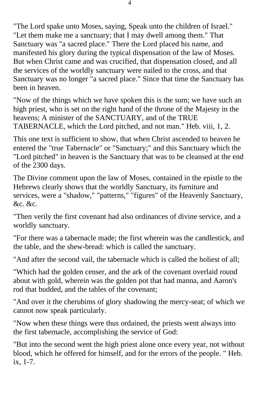"The Lord spake unto Moses, saying, Speak unto the children of Israel." "Let them make me a sanctuary; that I may dwell among them." That Sanctuary was "a sacred place." There the Lord placed his name, and manifested his glory during the typical dispensation of the law of Moses. But when Christ came and was crucified, that dispensation closed, and all the services of the worldly sanctuary were nailed to the cross, and that Sanctuary was no longer "a sacred place." Since that time the Sanctuary has been in heaven.

"Now of the things which we have spoken this is the sum; we have such an high priest, who is set on the right hand of the throne of the Majesty in the heavens; A minister of the SANCTUARY, and of the TRUE TABERNACLE, which the Lord pitched, and not man." Heb. viii, 1, 2.

This one text is sufficient to show, that when Christ ascended to heaven he entered the "true Tabernacle" or "Sanctuary;" and this Sanctuary which the "Lord pitched" in heaven is the Sanctuary that was to be cleansed at the end of the 2300 days.

The Divine comment upon the law of Moses, contained in the epistle to the Hebrews clearly shows that the worldly Sanctuary, its furniture and services, were a "shadow," "patterns," "figures" of the Heavenly Sanctuary, &c. &c.

"Then verily the first covenant had also ordinances of divine service, and a worldly sanctuary.

"For there was a tabernacle made; the first wherein was the candlestick, and the table, and the shew-bread: which is called the sanctuary.

"And after the second vail, the tabernacle which is called the holiest of all;

"Which had the golden censer, and the ark of the covenant overlaid round about with gold, wherein was the golden pot that had manna, and Aaron's rod that budded, and the tables of the covenant;

"And over it the cherubims of glory shadowing the mercy-seat; of which we cannot now speak particularly.

"Now when these things were thus ordained, the priests went always into the first tabernacle, accomplishing the service of God:

"But into the second went the high priest alone once every year, not without blood, which he offered for himself, and for the errors of the people. " Heb. ix, 1-7.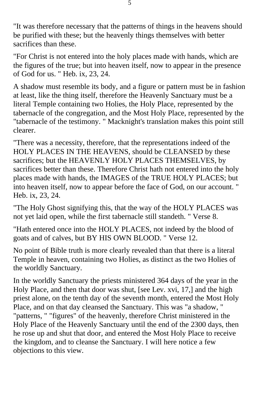"It was therefore necessary that the patterns of things in the heavens should be purified with these; but the heavenly things themselves with better sacrifices than these.

"For Christ is not entered into the holy places made with hands, which are the figures of the true; but into heaven itself, now to appear in the presence of God for us. " Heb. ix, 23, 24.

A shadow must resemble its body, and a figure or pattern must be in fashion at least, like the thing itself, therefore the Heavenly Sanctuary must be a literal Temple containing two Holies, the Holy Place, represented by the tabernacle of the congregation, and the Most Holy Place, represented by the "tabernacle of the testimony. " Macknight's translation makes this point still clearer.

"There was a necessity, therefore, that the representations indeed of the HOLY PLACES IN THE HEAVENS, should be CLEANSED by these sacrifices; but the HEAVENLY HOLY PLACES THEMSELVES, by sacrifices better than these. Therefore Christ hath not entered into the holy places made with hands, the IMAGES of the TRUE HOLY PLACES; but into heaven itself, now to appear before the face of God, on our account. " Heb. ix, 23, 24.

"The Holy Ghost signifying this, that the way of the HOLY PLACES was not yet laid open, while the first tabernacle still standeth. " Verse 8.

"Hath entered once into the HOLY PLACES, not indeed by the blood of goats and of calves, but BY HIS OWN BLOOD. " Verse 12.

No point of Bible truth is more clearly revealed than that there is a literal Temple in heaven, containing two Holies, as distinct as the two Holies of the worldly Sanctuary.

In the worldly Sanctuary the priests ministered 364 days of the year in the Holy Place, and then that door was shut, [see Lev. xvi, 17,] and the high priest alone, on the tenth day of the seventh month, entered the Most Holy Place, and on that day cleansed the Sanctuary. This was "a shadow, " "patterns, " "figures" of the heavenly, therefore Christ ministered in the Holy Place of the Heavenly Sanctuary until the end of the 2300 days, then he rose up and shut that door, and entered the Most Holy Place to receive the kingdom, and to cleanse the Sanctuary. I will here notice a few objections to this view.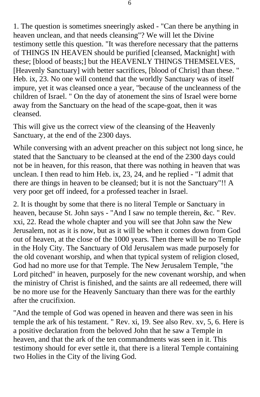1. The question is sometimes sneeringly asked - "Can there be anything in heaven unclean, and that needs cleansing"? We will let the Divine testimony settle this question. "It was therefore necessary that the patterns of THINGS IN HEAVEN should be purified [cleansed, Macknight] with these; [blood of beasts;] but the HEAVENLY THINGS THEMSELVES, [Heavenly Sanctuary] with better sacrifices, [blood of Christ] than these. " Heb. ix, 23. No one will contend that the worldly Sanctuary was of itself impure, yet it was cleansed once a year, "because of the uncleanness of the children of Israel. " On the day of atonement the sins of Israel were borne away from the Sanctuary on the head of the scape-goat, then it was cleansed.

This will give us the correct view of the cleansing of the Heavenly Sanctuary, at the end of the 2300 days.

While conversing with an advent preacher on this subject not long since, he stated that the Sanctuary to be cleansed at the end of the 2300 days could not be in heaven, for this reason, that there was nothing in heaven that was unclean. I then read to him Heb. ix, 23, 24, and he replied - "I admit that there are things in heaven to be cleansed; but it is not the Sanctuary"!! A very poor get off indeed, for a professed teacher in Israel.

2. It is thought by some that there is no literal Temple or Sanctuary in heaven, because St. John says - "And I saw no temple therein, &c. " Rev. xxi, 22. Read the whole chapter and you will see that John saw the New Jerusalem, not as it is now, but as it will be when it comes down from God out of heaven, at the close of the 1000 years. Then there will be no Temple in the Holy City. The Sanctuary of Old Jerusalem was made purposely for the old covenant worship, and when that typical system of religion closed, God had no more use for that Temple. The New Jerusalem Temple, "the Lord pitched" in heaven, purposely for the new covenant worship, and when the ministry of Christ is finished, and the saints are all redeemed, there will be no more use for the Heavenly Sanctuary than there was for the earthly after the crucifixion.

"And the temple of God was opened in heaven and there was seen in his temple the ark of his testament. " Rev. xi, 19. See also Rev. xv, 5, 6. Here is a positive declaration from the beloved John that he saw a Temple in heaven, and that the ark of the ten commandments was seen in it. This testimony should for ever settle it, that there is a literal Temple containing two Holies in the City of the living God.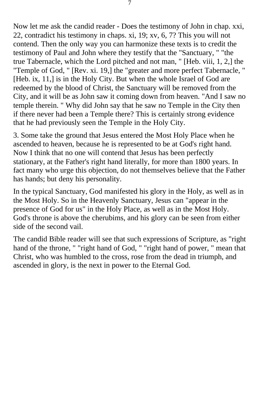Now let me ask the candid reader - Does the testimony of John in chap. xxi, 22, contradict his testimony in chaps. xi, 19; xv, 6, 7? This you will not contend. Then the only way you can harmonize these texts is to credit the testimony of Paul and John where they testify that the "Sanctuary, " "the true Tabernacle, which the Lord pitched and not man, " [Heb. viii, 1, 2,] the "Temple of God, " [Rev. xi. 19,] the "greater and more perfect Tabernacle, " [Heb. ix, 11,] is in the Holy City. But when the whole Israel of God are redeemed by the blood of Christ, the Sanctuary will be removed from the City, and it will be as John saw it coming down from heaven. "And I saw no temple therein. " Why did John say that he saw no Temple in the City then if there never had been a Temple there? This is certainly strong evidence that he had previously seen the Temple in the Holy City.

3. Some take the ground that Jesus entered the Most Holy Place when he ascended to heaven, because he is represented to be at God's right hand. Now I think that no one will contend that Jesus has been perfectly stationary, at the Father's right hand literally, for more than 1800 years. In fact many who urge this objection, do not themselves believe that the Father has hands; but deny his personality.

In the typical Sanctuary, God manifested his glory in the Holy, as well as in the Most Holy. So in the Heavenly Sanctuary, Jesus can "appear in the presence of God for us" in the Holy Place, as well as in the Most Holy. God's throne is above the cherubims, and his glory can be seen from either side of the second vail.

The candid Bible reader will see that such expressions of Scripture, as "right hand of the throne, " "right hand of God, " "right hand of power, " mean that Christ, who was humbled to the cross, rose from the dead in triumph, and ascended in glory, is the next in power to the Eternal God.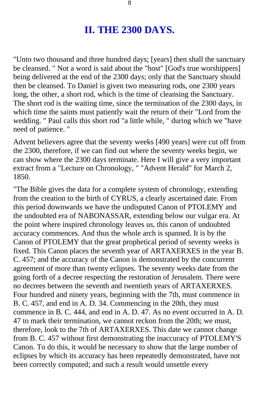### **II. THE 2300 DAYS.**

"Unto two thousand and three hundred days; [years] then shall the sanctuary be cleansed. " Not a word is said about the "host" [God's true worshippers] being delivered at the end of the 2300 days; only that the Sanctuary should then be cleansed. To Daniel is given two measuring rods, one 2300 years long, the other, a short rod, which is the time of cleansing the Sanctuary. The short rod is the waiting time, since the termination of the 2300 days, in which time the saints must patiently wait the return of their "Lord from the wedding. " Paul calls this short rod "a little while, " during which we "have need of patience. "

Advent believers agree that the seventy weeks [490 years] were cut off from the 2300, therefore, if we can find out where the seventy weeks begin, we can show where the 2300 days terminate. Here I will give a very important extract from a "Lecture on Chronology, " "Advent Herald" for March 2, 1850.

"The Bible gives the data for a complete system of chronology, extending from the creation to the birth of CYRUS, a clearly ascertained date. From this period downwards we have the undisputed Canon of PTOLEMY and the undoubted era of NABONASSAR, extending below our vulgar era. At the point where inspired chronology leaves us, this canon of undoubted accuracy commences. And thus the whole arch is spanned. It is by the Canon of PTOLEMY that the great prophetical period of seventy weeks is fixed. This Canon places the seventh year of ARTAXERXES in the year B. C. 457; and the accuracy of the Canon is demonstrated by the concurrent agreement of more than twenty eclipses. The seventy weeks date from the going forth of a decree respecting the restoration of Jerusalem. There were no decrees between the seventh and twentieth years of ARTAXERXES. Four hundred and ninety years, beginning with the 7th, must commence in B. C. 457, and end in A. D. 34. Commencing in the 20th, they must commence in B. C. 444, and end in A. D. 47. As no event occurred in A. D. 47 to mark their termination, we cannot reckon from the 20th; we must, therefore, look to the 7th of ARTAXERXES. This date we cannot change from B. C. 457 without first demonstrating the inaccuracy of PTOLEMY'S Canon. To do this, it would be necessary to show that the large number of eclipses by which its accuracy has been repeatedly demonstrated, have not been correctly computed; and such a result would unsettle every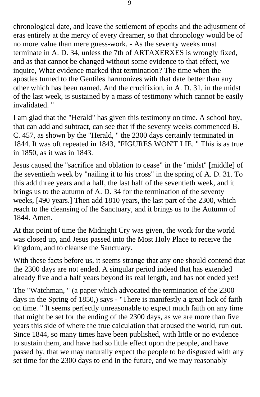chronological date, and leave the settlement of epochs and the adjustment of eras entirely at the mercy of every dreamer, so that chronology would be of no more value than mere guess-work. - As the seventy weeks must terminate in A. D. 34, unless the 7th of ARTAXERXES is wrongly fixed, and as that cannot be changed without some evidence to that effect, we inquire, What evidence marked that termination? The time when the apostles turned to the Gentiles harmonizes with that date better than any other which has been named. And the crucifixion, in A. D. 31, in the midst of the last week, is sustained by a mass of testimony which cannot be easily invalidated. "

I am glad that the "Herald" has given this testimony on time. A school boy, that can add and subtract, can see that if the seventy weeks commenced B. C. 457, as shown by the "Herald, " the 2300 days certainly terminated in 1844. It was oft repeated in 1843, "FIGURES WON'T LIE. " This is as true in 1850, as it was in 1843.

Jesus caused the "sacrifice and oblation to cease" in the "midst" [middle] of the seventieth week by "nailing it to his cross" in the spring of A. D. 31. To this add three years and a half, the last half of the seventieth week, and it brings us to the autumn of A. D. 34 for the termination of the seventy weeks, [490 years.] Then add 1810 years, the last part of the 2300, which reach to the cleansing of the Sanctuary, and it brings us to the Autumn of 1844. Amen.

At that point of time the Midnight Cry was given, the work for the world was closed up, and Jesus passed into the Most Holy Place to receive the kingdom, and to cleanse the Sanctuary.

With these facts before us, it seems strange that any one should contend that the 2300 days are not ended. A singular period indeed that has extended already five and a half years beyond its real length, and has not ended yet!

The "Watchman, " (a paper which advocated the termination of the 2300 days in the Spring of 1850,) says - "There is manifestly a great lack of faith on time. " It seems perfectly unreasonable to expect much faith on any time that might be set for the ending of the 2300 days, as we are more than five years this side of where the true calculation that aroused the world, run out. Since 1844, so many times have been published, with little or no evidence to sustain them, and have had so little effect upon the people, and have passed by, that we may naturally expect the people to be disgusted with any set time for the 2300 days to end in the future, and we may reasonably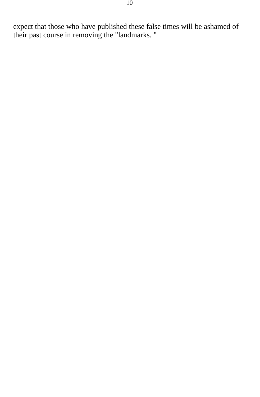expect that those who have published these false times will be ashamed of their past course in removing the "landmarks. "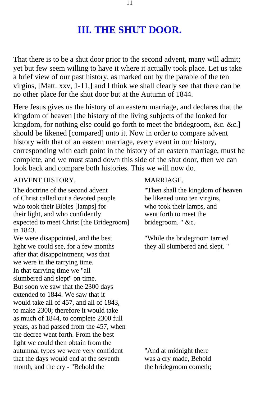## **III. THE SHUT DOOR.**

That there is to be a shut door prior to the second advent, many will admit; yet but few seem willing to have it where it actually took place. Let us take a brief view of our past history, as marked out by the parable of the ten virgins, [Matt. xxv, 1-11,] and I think we shall clearly see that there can be no other place for the shut door but at the Autumn of 1844.

Here Jesus gives us the history of an eastern marriage, and declares that the kingdom of heaven [the history of the living subjects of the looked for kingdom, for nothing else could go forth to meet the bridegroom, &c. &c.] should be likened [compared] unto it. Now in order to compare advent history with that of an eastern marriage, every event in our history, corresponding with each point in the history of an eastern marriage, must be complete, and we must stand down this side of the shut door, then we can look back and compare both histories. This we will now do.

#### ADVENT HISTORY. MARRIAGE.

The doctrine of the second advent "Then shall the kingdom of heaven of Christ called out a devoted people be likened unto ten virgins, who took their Bibles [lamps] for who took their lamps, and their light, and who confidently<br>expected to meet Christ [the Bridegroom] went forth to meet the<br>bridegroom. " &c. expected to meet Christ [the Bridegroom] in 1843. We were disappointed, and the best "While the bridegroom tarried" light we could see, for a few months they all slumbered and slept. " after that disappointment, was that we were in the tarrying time. In that tarrying time we "all slumbered and slept" on time. But soon we saw that the 2300 days extended to 1844. We saw that it would take all of 457, and all of 1843, to make 2300; therefore it would take as much of 1844, to complete 2300 full years, as had passed from the 457, when the decree went forth. From the best light we could then obtain from the autumnal types we were very confident "And at midnight there that the days would end at the seventh was a cry made, Behold month, and the cry - "Behold the the bridegroom cometh;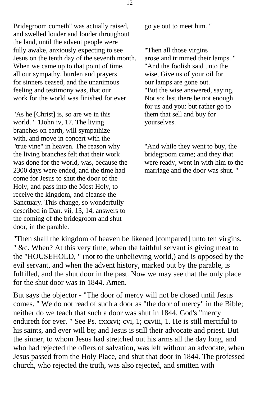Bridegroom cometh" was actually raised, go ye out to meet him. " and swelled louder and louder throughout the land, until the advent people were fully awake, anxiously expecting to see "Then all those virgins<br>Jesus on the tenth day of the seventh month. arose and trimmed their lamps. " Jesus on the tenth day of the seventh month. When we came up to that point of time,<br>
all our sympathy, burden and prayers<br>
wise, Give us of your oil for all our sympathy, burden and prayers for sinners ceased, and the unanimous our lamps are gone out.<br>
feeling and testimony was, that our "But the wise answered, saying, feeling and testimony was, that our work for the world was finished for ever. Not so: lest there be not enough

"As he [Christ] is, so are we in this them that sell and buy for world. " 1John iv, 17. The living vourselves. world. " 1John iv, 17. The living branches on earth, will sympathize with, and move in concert with the "true vine" in heaven. The reason why "And while they went to buy, the the living branches felt that their work bridegroom came; and they that was done for the world, was, because the were ready, went in with him to the 2300 days were ended, and the time had marriage and the door was shut. " come for Jesus to shut the door of the Holy, and pass into the Most Holy, to receive the kingdom, and cleanse the Sanctuary. This change, so wonderfully described in Dan. vii, 13, 14, answers to the coming of the bridegroom and shut door, in the parable.

for us and you: but rather go to

"Then shall the kingdom of heaven be likened [compared] unto ten virgins, " &c. When? At this very time, when the faithful servant is giving meat to the "HOUSEHOLD, " (not to the unbelieving world,) and is opposed by the evil servant, and when the advent history, marked out by the parable, is fulfilled, and the shut door in the past. Now we may see that the only place for the shut door was in 1844. Amen.

But says the objector - "The door of mercy will not be closed until Jesus comes. " We do not read of such a door as "the door of mercy" in the Bible; neither do we teach that such a door was shut in 1844. God's "mercy endureth for ever. " See Ps. cxxxvi; cvi, 1; cxviii, 1. He is still merciful to his saints, and ever will be; and Jesus is still their advocate and priest. But the sinner, to whom Jesus had stretched out his arms all the day long, and who had rejected the offers of salvation, was left without an advocate, when Jesus passed from the Holy Place, and shut that door in 1844. The professed church, who rejected the truth, was also rejected, and smitten with